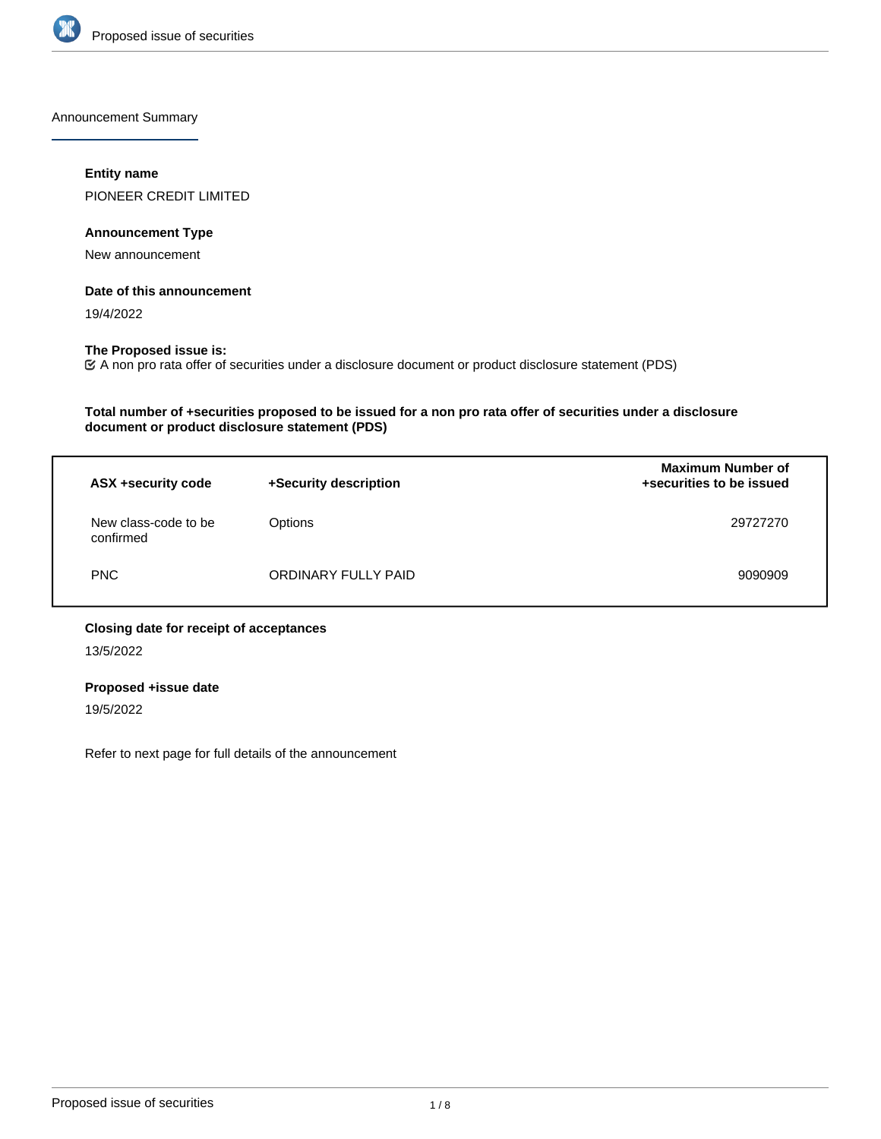

Announcement Summary

### **Entity name**

PIONEER CREDIT LIMITED

# **Announcement Type**

New announcement

### **Date of this announcement**

19/4/2022

## **The Proposed issue is:**

A non pro rata offer of securities under a disclosure document or product disclosure statement (PDS)

# **Total number of +securities proposed to be issued for a non pro rata offer of securities under a disclosure document or product disclosure statement (PDS)**

| ASX +security code                | +Security description | <b>Maximum Number of</b><br>+securities to be issued |
|-----------------------------------|-----------------------|------------------------------------------------------|
| New class-code to be<br>confirmed | Options               | 29727270                                             |
| <b>PNC</b>                        | ORDINARY FULLY PAID   | 9090909                                              |

# **Closing date for receipt of acceptances**

13/5/2022

# **Proposed +issue date**

19/5/2022

Refer to next page for full details of the announcement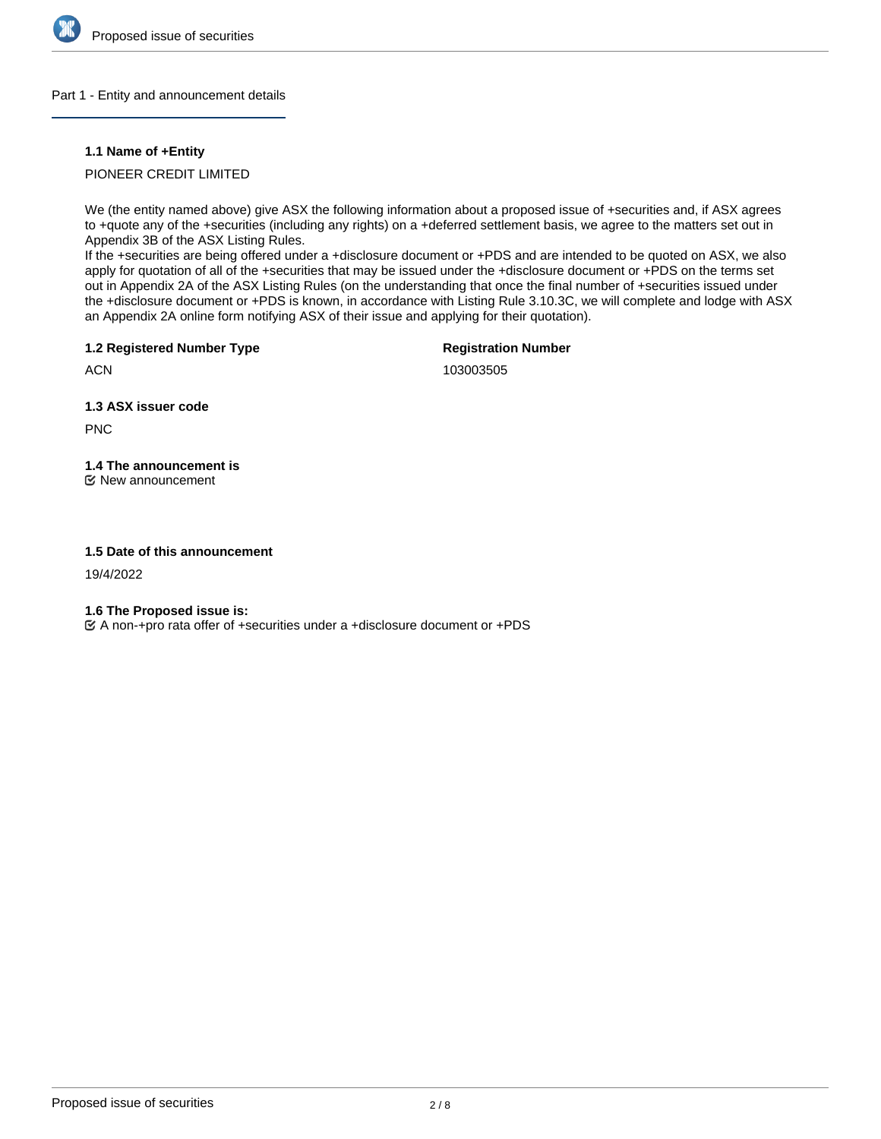

### Part 1 - Entity and announcement details

### **1.1 Name of +Entity**

## PIONEER CREDIT LIMITED

We (the entity named above) give ASX the following information about a proposed issue of +securities and, if ASX agrees to +quote any of the +securities (including any rights) on a +deferred settlement basis, we agree to the matters set out in Appendix 3B of the ASX Listing Rules.

If the +securities are being offered under a +disclosure document or +PDS and are intended to be quoted on ASX, we also apply for quotation of all of the +securities that may be issued under the +disclosure document or +PDS on the terms set out in Appendix 2A of the ASX Listing Rules (on the understanding that once the final number of +securities issued under the +disclosure document or +PDS is known, in accordance with Listing Rule 3.10.3C, we will complete and lodge with ASX an Appendix 2A online form notifying ASX of their issue and applying for their quotation).

**1.2 Registered Number Type**

**Registration Number**

**ACN** 

103003505

**1.3 ASX issuer code**

PNC

**1.4 The announcement is** New announcement

### **1.5 Date of this announcement**

19/4/2022

**1.6 The Proposed issue is:**

A non-+pro rata offer of +securities under a +disclosure document or +PDS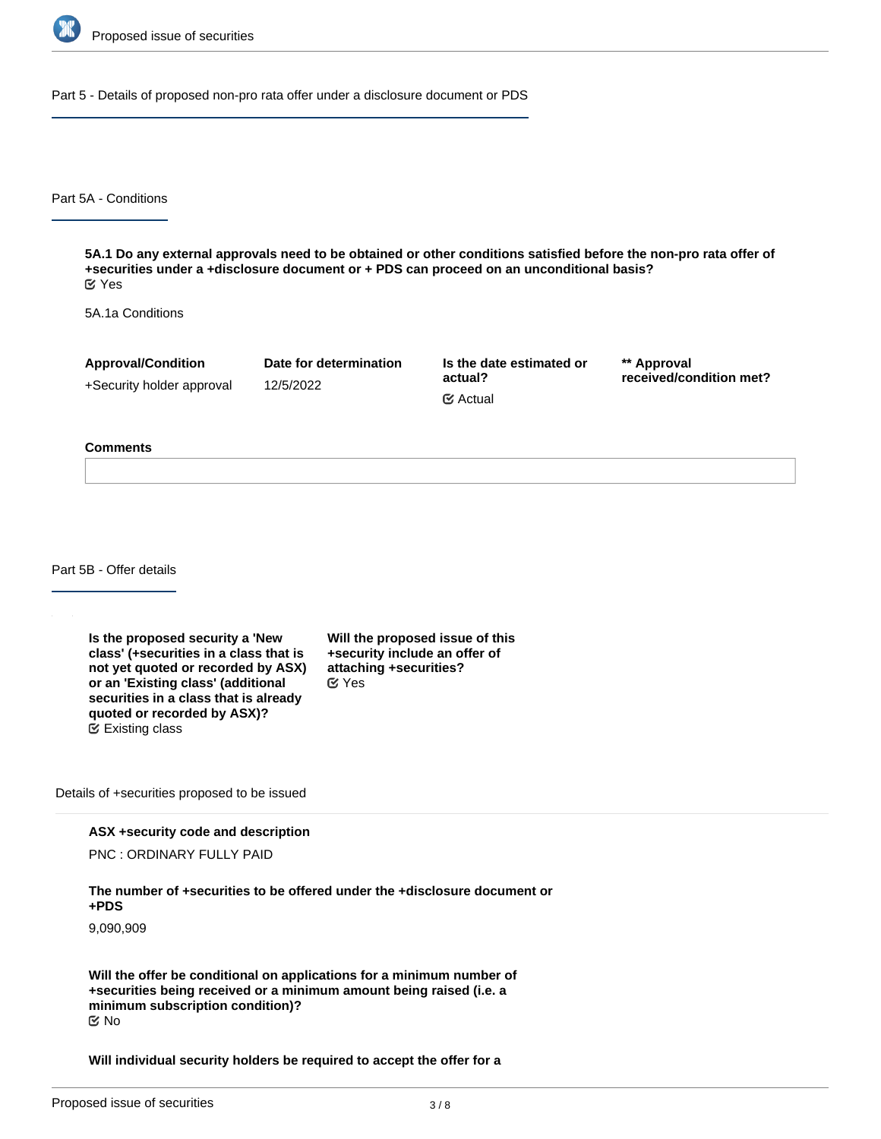

Part 5 - Details of proposed non-pro rata offer under a disclosure document or PDS

Part 5A - Conditions

**5A.1 Do any external approvals need to be obtained or other conditions satisfied before the non-pro rata offer of +securities under a +disclosure document or + PDS can proceed on an unconditional basis?** Yes

5A.1a Conditions

**Approval/Condition** +Security holder approval **Date for determination** 12/5/2022

**Is the date estimated or actual?** Actual

**\*\* Approval received/condition met?**

#### **Comments**

Part 5B - Offer details

**Is the proposed security a 'New class' (+securities in a class that is not yet quoted or recorded by ASX) or an 'Existing class' (additional securities in a class that is already quoted or recorded by ASX)?** Existing class

**Will the proposed issue of this +security include an offer of attaching +securities?** Yes

Details of +securities proposed to be issued

**ASX +security code and description**

PNC : ORDINARY FULLY PAID

**The number of +securities to be offered under the +disclosure document or +PDS**

9,090,909

**Will the offer be conditional on applications for a minimum number of +securities being received or a minimum amount being raised (i.e. a minimum subscription condition)?** No

**Will individual security holders be required to accept the offer for a**

**minimum number or value of +securities (i.e. a minimum acceptance**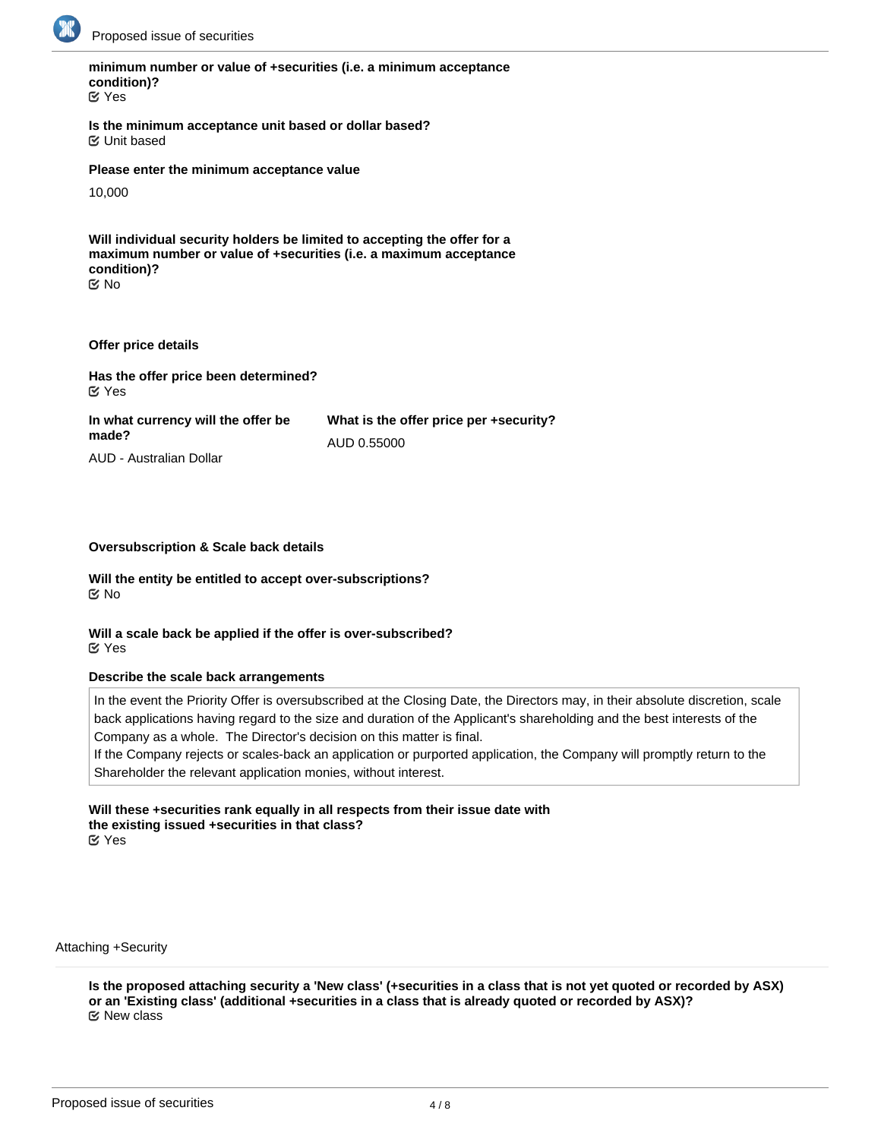

# **minimum number or value of +securities (i.e. a minimum acceptance condition)?**

Yes

**Is the minimum acceptance unit based or dollar based?** Unit based

**Please enter the minimum acceptance value**

10,000

**Will individual security holders be limited to accepting the offer for a maximum number or value of +securities (i.e. a maximum acceptance condition)?** No

### **Offer price details**

**Has the offer price been determined?** Yes

**In what currency will the offer be made? What is the offer price per +security?** AUD 0.55000

AUD - Australian Dollar

### **Oversubscription & Scale back details**

**Will the entity be entitled to accept over-subscriptions?** No

**Will a scale back be applied if the offer is over-subscribed?** Yes

### **Describe the scale back arrangements**

In the event the Priority Offer is oversubscribed at the Closing Date, the Directors may, in their absolute discretion, scale back applications having regard to the size and duration of the Applicant's shareholding and the best interests of the Company as a whole. The Director's decision on this matter is final.

If the Company rejects or scales-back an application or purported application, the Company will promptly return to the Shareholder the relevant application monies, without interest.

# **Will these +securities rank equally in all respects from their issue date with the existing issued +securities in that class?**

Yes

Attaching +Security

**Is the proposed attaching security a 'New class' (+securities in a class that is not yet quoted or recorded by ASX) or an 'Existing class' (additional +securities in a class that is already quoted or recorded by ASX)?** New class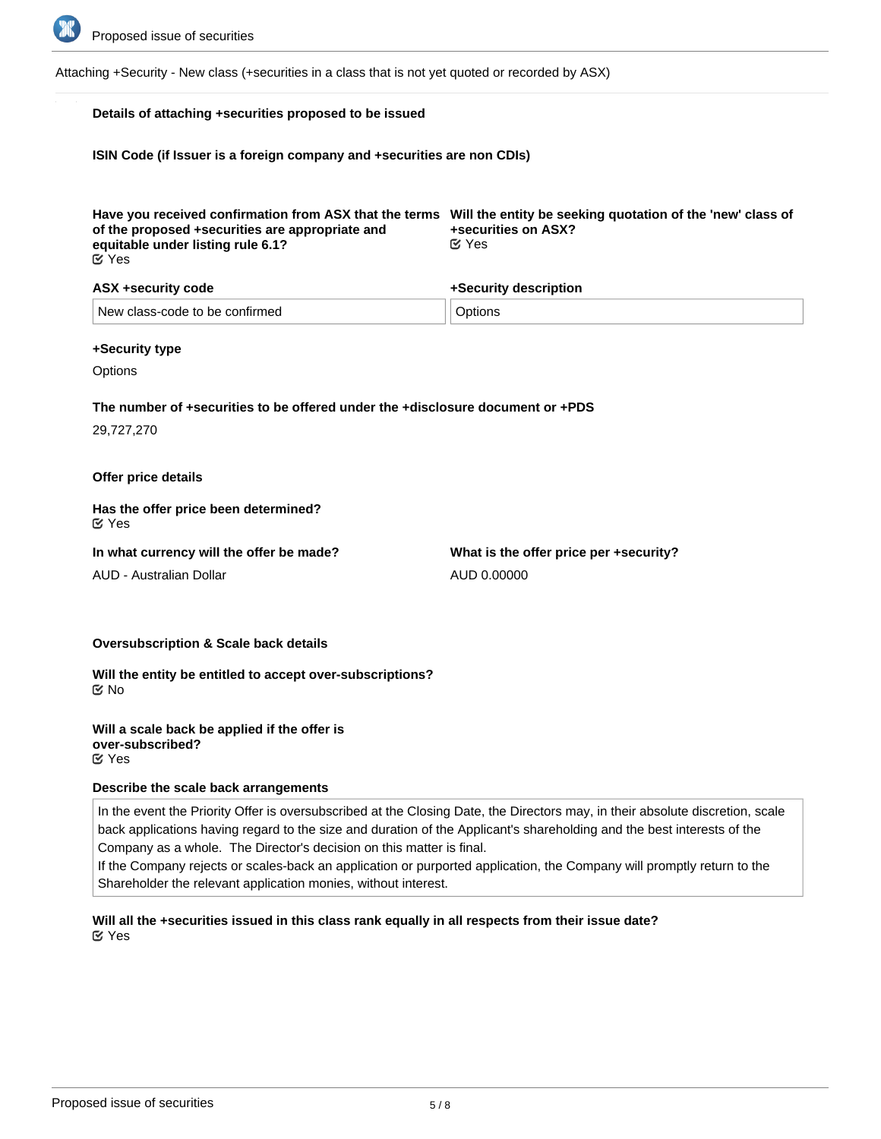

Attaching +Security - New class (+securities in a class that is not yet quoted or recorded by ASX)

### **Details of attaching +securities proposed to be issued**

**ISIN Code (if Issuer is a foreign company and +securities are non CDIs)**

| Have you received confirmation from ASX that the terms Will the entity be seeking quotation of the 'new' class of<br>of the proposed +securities are appropriate and | +securities on ASX? |
|----------------------------------------------------------------------------------------------------------------------------------------------------------------------|---------------------|
| equitable under listing rule 6.1?<br><b>K</b> Yes                                                                                                                    | <b>⊘</b> Yes        |

| ASX +security code             | +Security description |  |
|--------------------------------|-----------------------|--|
| New class-code to be confirmed | Options               |  |

#### **+Security type**

**Options** 

# **The number of +securities to be offered under the +disclosure document or +PDS**

29,727,270

### **Offer price details**

**Has the offer price been determined?** Yes

**In what currency will the offer be made?**

AUD - Australian Dollar

**What is the offer price per +security?** AUD 0.00000

#### **Oversubscription & Scale back details**

**Will the entity be entitled to accept over-subscriptions?** No

**Will a scale back be applied if the offer is over-subscribed?** Yes

### **Describe the scale back arrangements**

In the event the Priority Offer is oversubscribed at the Closing Date, the Directors may, in their absolute discretion, scale back applications having regard to the size and duration of the Applicant's shareholding and the best interests of the Company as a whole. The Director's decision on this matter is final.

If the Company rejects or scales-back an application or purported application, the Company will promptly return to the Shareholder the relevant application monies, without interest.

### **Will all the +securities issued in this class rank equally in all respects from their issue date?** Yes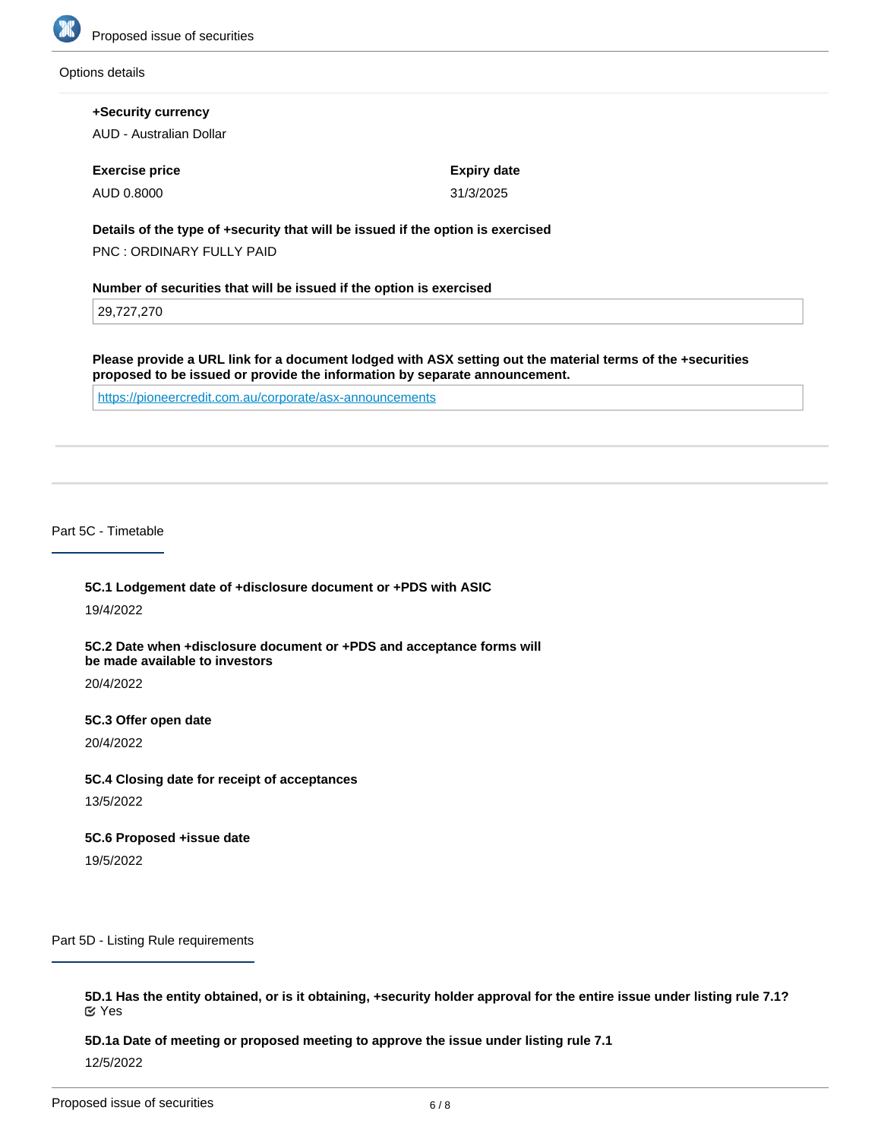

#### Options details

**+Security currency** AUD - Australian Dollar **Exercise price** AUD 0.8000 **Expiry date** 31/3/2025 **Details of the type of +security that will be issued if the option is exercised** PNC : ORDINARY FULLY PAID **Number of securities that will be issued if the option is exercised** 29,727,270 **Please provide a URL link for a document lodged with ASX setting out the material terms of the +securities proposed to be issued or provide the information by separate announcement.** <https://pioneercredit.com.au/corporate/asx-announcements>

Part 5C - Timetable

**5C.1 Lodgement date of +disclosure document or +PDS with ASIC**

19/4/2022

**5C.2 Date when +disclosure document or +PDS and acceptance forms will be made available to investors**

20/4/2022

**5C.3 Offer open date**

20/4/2022

**5C.4 Closing date for receipt of acceptances**

13/5/2022

**5C.6 Proposed +issue date**

19/5/2022

Part 5D - Listing Rule requirements

**5D.1 Has the entity obtained, or is it obtaining, +security holder approval for the entire issue under listing rule 7.1?** Yes

**5D.1a Date of meeting or proposed meeting to approve the issue under listing rule 7.1**

12/5/2022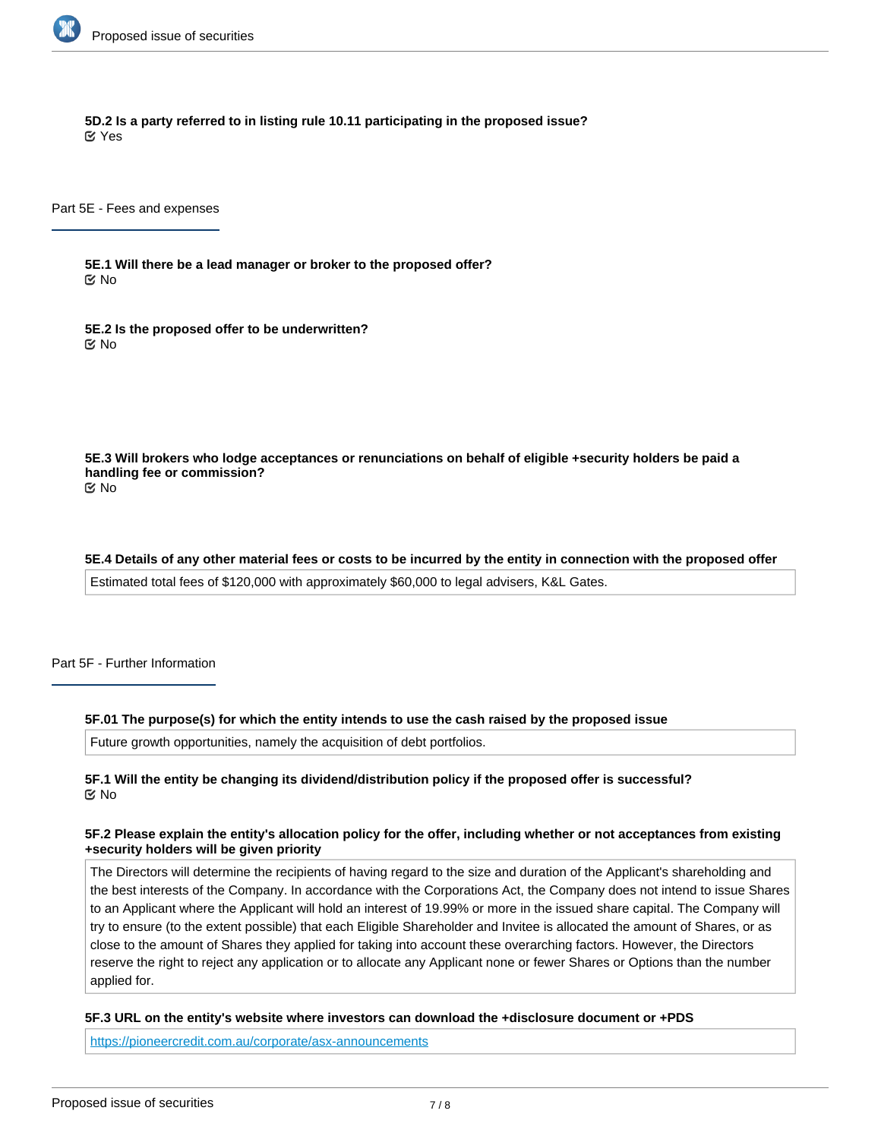

**5D.2 Is a party referred to in listing rule 10.11 participating in the proposed issue?** Yes

Part 5E - Fees and expenses

**5E.1 Will there be a lead manager or broker to the proposed offer?** No

**5E.2 Is the proposed offer to be underwritten?** No

**5E.3 Will brokers who lodge acceptances or renunciations on behalf of eligible +security holders be paid a handling fee or commission?** No

**5E.4 Details of any other material fees or costs to be incurred by the entity in connection with the proposed offer** Estimated total fees of \$120,000 with approximately \$60,000 to legal advisers, K&L Gates.

Part 5F - Further Information

#### **5F.01 The purpose(s) for which the entity intends to use the cash raised by the proposed issue**

Future growth opportunities, namely the acquisition of debt portfolios.

### **5F.1 Will the entity be changing its dividend/distribution policy if the proposed offer is successful?** No

### **5F.2 Please explain the entity's allocation policy for the offer, including whether or not acceptances from existing +security holders will be given priority**

The Directors will determine the recipients of having regard to the size and duration of the Applicant's shareholding and the best interests of the Company. In accordance with the Corporations Act, the Company does not intend to issue Shares to an Applicant where the Applicant will hold an interest of 19.99% or more in the issued share capital. The Company will try to ensure (to the extent possible) that each Eligible Shareholder and Invitee is allocated the amount of Shares, or as close to the amount of Shares they applied for taking into account these overarching factors. However, the Directors reserve the right to reject any application or to allocate any Applicant none or fewer Shares or Options than the number applied for.

#### **5F.3 URL on the entity's website where investors can download the +disclosure document or +PDS**

**5F.4 Any other information the entity wishes to provide about the proposed offer**

<https://pioneercredit.com.au/corporate/asx-announcements>